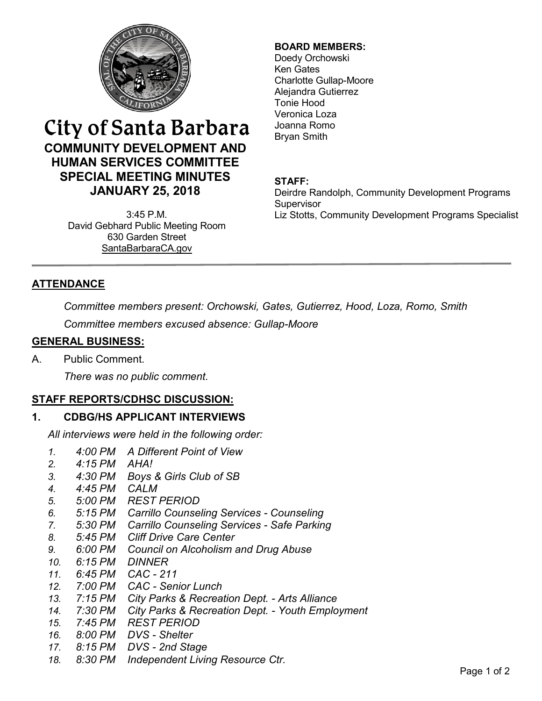

# City of Santa Barbara **COMMUNITY DEVELOPMENT AND HUMAN SERVICES COMMITTEE SPECIAL MEETING MINUTES JANUARY 25, 2018**

3:45 P.M. David Gebhard Public Meeting Room 630 Garden Street [SantaBarbaraCA.gov](http://www.santabarbaraca.gov/)

## **BOARD MEMBERS:**

Doedy Orchowski Ken Gates Charlotte Gullap-Moore Alejandra Gutierrez Tonie Hood Veronica Loza Joanna Romo Bryan Smith

## **STAFF:**

Deirdre Randolph, Community Development Programs Supervisor Liz Stotts, Community Development Programs Specialist

# **ATTENDANCE**

*Committee members present: Orchowski, Gates, Gutierrez, Hood, Loza, Romo, Smith*

*Committee members excused absence: Gullap-Moore*

#### **GENERAL BUSINESS:**

A. Public Comment.

*There was no public comment.*

## **STAFF REPORTS/CDHSC DISCUSSION:**

## **1. CDBG/HS APPLICANT INTERVIEWS**

*All interviews were held in the following order:*

- *1. 4:00 PM A Different Point of View*
- *2. 4:15 PM AHA!*
- *3. 4:30 PM Boys & Girls Club of SB*
- *4. 4:45 PM CALM*
- *5. 5:00 PM REST PERIOD*
- *6. 5:15 PM Carrillo Counseling Services - Counseling*
- *7. 5:30 PM Carrillo Counseling Services - Safe Parking*
- *8. 5:45 PM Cliff Drive Care Center*
- *9. 6:00 PM Council on Alcoholism and Drug Abuse*
- *10. 6:15 PM DINNER*
- *11. 6:45 PM CAC - 211*
- *12. 7:00 PM CAC - Senior Lunch*
- *13. 7:15 PM City Parks & Recreation Dept. - Arts Alliance*
- *14. 7:30 PM City Parks & Recreation Dept. - Youth Employment*
- *15. 7:45 PM REST PERIOD*
- *16. 8:00 PM DVS - Shelter*
- *17. 8:15 PM DVS - 2nd Stage*
- *18. 8:30 PM Independent Living Resource Ctr.*